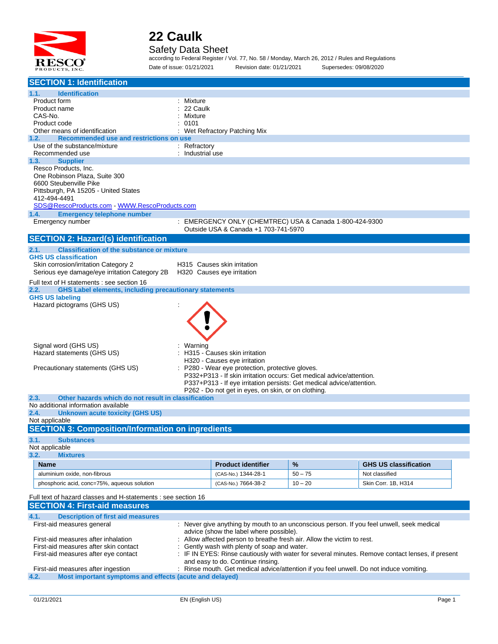

#### Safety Data Sheet

according to Federal Register / Vol. 77, No. 58 / Monday, March 26, 2012 / Rules and Regulations Date of issue: 01/21/2021 Revision date: 01/21/2021 Supersedes: 09/08/2020

| <b>SECTION 1: Identification</b>                                                 |                                 |                                                                       |           |                                                                                                |  |
|----------------------------------------------------------------------------------|---------------------------------|-----------------------------------------------------------------------|-----------|------------------------------------------------------------------------------------------------|--|
| 1.1.<br><b>Identification</b>                                                    |                                 |                                                                       |           |                                                                                                |  |
| Product form                                                                     | Mixture                         |                                                                       |           |                                                                                                |  |
| Product name                                                                     | 22 Caulk                        |                                                                       |           |                                                                                                |  |
| CAS-No.                                                                          | Mixture                         |                                                                       |           |                                                                                                |  |
| Product code                                                                     | 0101                            | Wet Refractory Patching Mix                                           |           |                                                                                                |  |
| Other means of identification<br>Recommended use and restrictions on use<br>1.2. |                                 |                                                                       |           |                                                                                                |  |
| Use of the substance/mixture                                                     | : Refractory                    |                                                                       |           |                                                                                                |  |
| Recommended use                                                                  | : Industrial use                |                                                                       |           |                                                                                                |  |
| <b>Supplier</b><br>1.3.                                                          |                                 |                                                                       |           |                                                                                                |  |
| Resco Products, Inc.                                                             |                                 |                                                                       |           |                                                                                                |  |
| One Robinson Plaza, Suite 300                                                    |                                 |                                                                       |           |                                                                                                |  |
| 6600 Steubenville Pike                                                           |                                 |                                                                       |           |                                                                                                |  |
| Pittsburgh, PA 15205 - United States                                             |                                 |                                                                       |           |                                                                                                |  |
| 412-494-4491                                                                     |                                 |                                                                       |           |                                                                                                |  |
| SDS@RescoProducts.com WWW.RescoProducts.com                                      |                                 |                                                                       |           |                                                                                                |  |
| <b>Emergency telephone number</b><br>1.4.                                        |                                 |                                                                       |           |                                                                                                |  |
| Emergency number                                                                 |                                 | : EMERGENCY ONLY (CHEMTREC) USA & Canada 1-800-424-9300               |           |                                                                                                |  |
|                                                                                  |                                 | Outside USA & Canada +1 703-741-5970                                  |           |                                                                                                |  |
| <b>SECTION 2: Hazard(s) identification</b>                                       |                                 |                                                                       |           |                                                                                                |  |
| 2.1.<br><b>Classification of the substance or mixture</b>                        |                                 |                                                                       |           |                                                                                                |  |
| <b>GHS US classification</b>                                                     |                                 |                                                                       |           |                                                                                                |  |
| Skin corrosion/irritation Category 2                                             | H315 Causes skin irritation     |                                                                       |           |                                                                                                |  |
| Serious eye damage/eye irritation Category 2B H320 Causes eye irritation         |                                 |                                                                       |           |                                                                                                |  |
| Full text of H statements : see section 16                                       |                                 |                                                                       |           |                                                                                                |  |
| <b>GHS Label elements, including precautionary statements</b><br>2.2.            |                                 |                                                                       |           |                                                                                                |  |
| <b>GHS US labeling</b>                                                           |                                 |                                                                       |           |                                                                                                |  |
| Hazard pictograms (GHS US)                                                       |                                 |                                                                       |           |                                                                                                |  |
|                                                                                  |                                 |                                                                       |           |                                                                                                |  |
|                                                                                  |                                 |                                                                       |           |                                                                                                |  |
|                                                                                  |                                 |                                                                       |           |                                                                                                |  |
|                                                                                  |                                 |                                                                       |           |                                                                                                |  |
| Signal word (GHS US)                                                             | Warning                         |                                                                       |           |                                                                                                |  |
| Hazard statements (GHS US)                                                       | : H315 - Causes skin irritation |                                                                       |           |                                                                                                |  |
|                                                                                  |                                 | H320 - Causes eye irritation                                          |           |                                                                                                |  |
| Precautionary statements (GHS US)                                                |                                 | P280 - Wear eye protection, protective gloves.                        |           |                                                                                                |  |
|                                                                                  |                                 | P332+P313 - If skin irritation occurs: Get medical advice/attention.  |           |                                                                                                |  |
|                                                                                  |                                 | P337+P313 - If eye irritation persists: Get medical advice/attention. |           |                                                                                                |  |
|                                                                                  |                                 | P262 - Do not get in eyes, on skin, or on clothing.                   |           |                                                                                                |  |
| Other hazards which do not result in classification<br>2.3.                      |                                 |                                                                       |           |                                                                                                |  |
| No additional information available                                              |                                 |                                                                       |           |                                                                                                |  |
| 2.4.<br><b>Unknown acute toxicity (GHS US)</b><br>Not applicable                 |                                 |                                                                       |           |                                                                                                |  |
| <b>SECTION 3: Composition/Information on ingredients</b>                         |                                 |                                                                       |           |                                                                                                |  |
|                                                                                  |                                 |                                                                       |           |                                                                                                |  |
| 3.1.<br><b>Substances</b>                                                        |                                 |                                                                       |           |                                                                                                |  |
| Not applicable                                                                   |                                 |                                                                       |           |                                                                                                |  |
| 3.2.<br><b>Mixtures</b>                                                          |                                 |                                                                       |           |                                                                                                |  |
| <b>Name</b>                                                                      |                                 | <b>Product identifier</b>                                             | %         | <b>GHS US classification</b>                                                                   |  |
| aluminium oxide, non-fibrous                                                     |                                 | (CAS-No.) 1344-28-1                                                   | $50 - 75$ | Not classified                                                                                 |  |
| phosphoric acid, conc=75%, aqueous solution                                      |                                 | (CAS-No.) 7664-38-2                                                   | $10 - 20$ | Skin Corr. 1B, H314                                                                            |  |
|                                                                                  |                                 |                                                                       |           |                                                                                                |  |
| Full text of hazard classes and H-statements : see section 16                    |                                 |                                                                       |           |                                                                                                |  |
| <b>SECTION 4: First-aid measures</b>                                             |                                 |                                                                       |           |                                                                                                |  |
| 4.1.<br><b>Description of first aid measures</b>                                 |                                 |                                                                       |           |                                                                                                |  |
| First-aid measures general                                                       |                                 |                                                                       |           | : Never give anything by mouth to an unconscious person. If you feel unwell, seek medical      |  |
|                                                                                  |                                 | advice (show the label where possible).                               |           |                                                                                                |  |
| First-aid measures after inhalation                                              |                                 | Allow affected person to breathe fresh air. Allow the victim to rest. |           |                                                                                                |  |
| First-aid measures after skin contact                                            |                                 | Gently wash with plenty of soap and water.                            |           |                                                                                                |  |
| First-aid measures after eye contact                                             |                                 |                                                                       |           | IF IN EYES: Rinse cautiously with water for several minutes. Remove contact lenses, if present |  |
|                                                                                  |                                 | and easy to do. Continue rinsing.                                     |           |                                                                                                |  |
| First-aid measures after ingestion                                               |                                 |                                                                       |           | : Rinse mouth. Get medical advice/attention if you feel unwell. Do not induce vomiting.        |  |
| Most important symptoms and effects (acute and delayed)<br>4.2.                  |                                 |                                                                       |           |                                                                                                |  |
|                                                                                  |                                 |                                                                       |           |                                                                                                |  |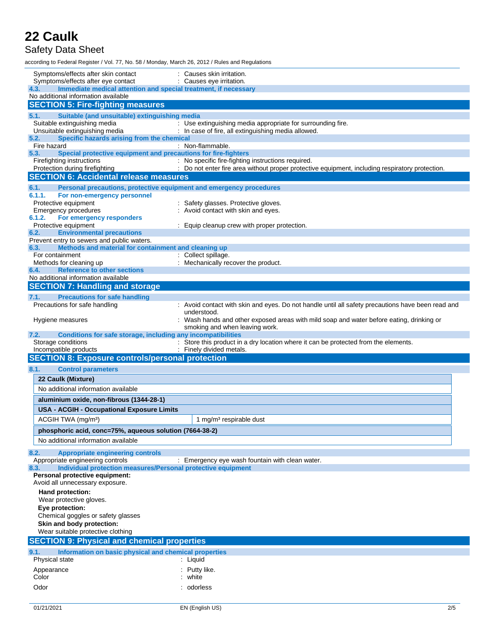### Safety Data Sheet

according to Federal Register / Vol. 77, No. 58 / Monday, March 26, 2012 / Rules and Regulations

| Symptoms/effects after skin contact<br>Symptoms/effects after eye contact                              | : Causes skin irritation.<br>: Causes eye irritation.                                                            |
|--------------------------------------------------------------------------------------------------------|------------------------------------------------------------------------------------------------------------------|
| 4.3.<br>Immediate medical attention and special treatment, if necessary                                |                                                                                                                  |
| No additional information available                                                                    |                                                                                                                  |
| <b>SECTION 5: Fire-fighting measures</b>                                                               |                                                                                                                  |
| Suitable (and unsuitable) extinguishing media<br>5.1.<br>Suitable extinguishing media                  | : Use extinguishing media appropriate for surrounding fire.                                                      |
| Unsuitable extinguishing media                                                                         | : In case of fire, all extinguishing media allowed.                                                              |
| Specific hazards arising from the chemical<br>5.2.                                                     |                                                                                                                  |
| Fire hazard                                                                                            | : Non-flammable.                                                                                                 |
| Special protective equipment and precautions for fire-fighters<br>5.3.<br>Firefighting instructions    | : No specific fire-fighting instructions required.                                                               |
| Protection during firefighting                                                                         | : Do not enter fire area without proper protective equipment, including respiratory protection.                  |
| <b>SECTION 6: Accidental release measures</b>                                                          |                                                                                                                  |
| 6.1.<br>Personal precautions, protective equipment and emergency procedures                            |                                                                                                                  |
| 6.1.1.<br>For non-emergency personnel                                                                  |                                                                                                                  |
| Protective equipment                                                                                   | : Safety glasses. Protective gloves.                                                                             |
| <b>Emergency procedures</b><br>6.1.2.<br>For emergency responders                                      | : Avoid contact with skin and eyes.                                                                              |
| Protective equipment                                                                                   | : Equip cleanup crew with proper protection.                                                                     |
| <b>Environmental precautions</b><br>6.2.                                                               |                                                                                                                  |
| Prevent entry to sewers and public waters.                                                             |                                                                                                                  |
| Methods and material for containment and cleaning up<br>6.3.<br>For containment                        | : Collect spillage.                                                                                              |
| Methods for cleaning up                                                                                | : Mechanically recover the product.                                                                              |
| <b>Reference to other sections</b><br>6.4.                                                             |                                                                                                                  |
| No additional information available                                                                    |                                                                                                                  |
| <b>SECTION 7: Handling and storage</b>                                                                 |                                                                                                                  |
| <b>Precautions for safe handling</b><br>7.1.                                                           |                                                                                                                  |
| Precautions for safe handling                                                                          | : Avoid contact with skin and eyes. Do not handle until all safety precautions have been read and<br>understood. |
| Hygiene measures                                                                                       | : Wash hands and other exposed areas with mild soap and water before eating, drinking or                         |
|                                                                                                        | smoking and when leaving work.                                                                                   |
| Conditions for safe storage, including any incompatibilities<br>7.2.                                   |                                                                                                                  |
| Storage conditions<br>Incompatible products                                                            | : Store this product in a dry location where it can be protected from the elements.<br>: Finely divided metals.  |
| <b>SECTION 8: Exposure controls/personal protection</b>                                                |                                                                                                                  |
| 8.1.<br><b>Control parameters</b>                                                                      |                                                                                                                  |
| 22 Caulk (Mixture)                                                                                     |                                                                                                                  |
| No additional information available                                                                    |                                                                                                                  |
|                                                                                                        |                                                                                                                  |
| aluminium oxide, non-fibrous (1344-28-1)                                                               |                                                                                                                  |
| <b>USA - ACGIH - Occupational Exposure Limits</b>                                                      |                                                                                                                  |
| ACGIH TWA (mg/m <sup>3</sup> )                                                                         | 1 mg/m <sup>3</sup> respirable dust                                                                              |
| phosphoric acid, conc=75%, aqueous solution (7664-38-2)                                                |                                                                                                                  |
| No additional information available                                                                    |                                                                                                                  |
| 8.2.<br><b>Appropriate engineering controls</b>                                                        |                                                                                                                  |
| Appropriate engineering controls                                                                       | : Emergency eye wash fountain with clean water.                                                                  |
| Individual protection measures/Personal protective equipment<br>8.3.<br>Personal protective equipment: |                                                                                                                  |
| Avoid all unnecessary exposure.                                                                        |                                                                                                                  |
| Hand protection:                                                                                       |                                                                                                                  |
| Wear protective gloves.                                                                                |                                                                                                                  |
| Eye protection:                                                                                        |                                                                                                                  |
| Chemical goggles or safety glasses                                                                     |                                                                                                                  |
| Skin and body protection:<br>Wear suitable protective clothing                                         |                                                                                                                  |
|                                                                                                        |                                                                                                                  |
| <b>SECTION 9: Physical and chemical properties</b>                                                     |                                                                                                                  |
| 9.1.<br>Information on basic physical and chemical properties<br>Physical state                        | : Liquid                                                                                                         |
|                                                                                                        | : Putty like.                                                                                                    |
| Appearance<br>Color                                                                                    | : white                                                                                                          |
| Odor                                                                                                   | : odorless                                                                                                       |
|                                                                                                        |                                                                                                                  |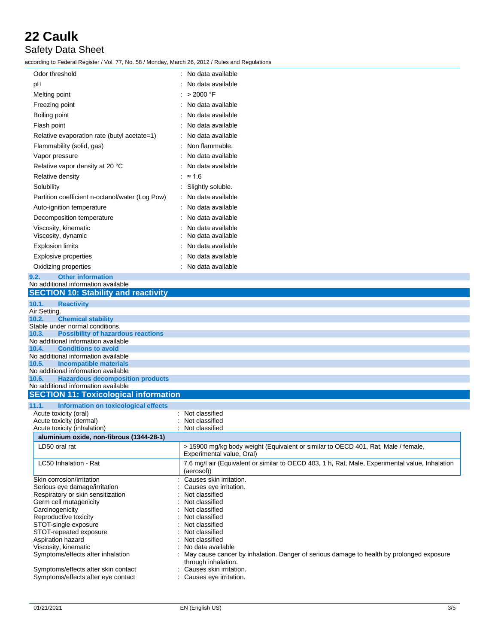### Safety Data Sheet

according to Federal Register / Vol. 77, No. 58 / Monday, March 26, 2012 / Rules and Regulations

| Odor threshold                                                                      | No data available                                                                               |
|-------------------------------------------------------------------------------------|-------------------------------------------------------------------------------------------------|
| pH                                                                                  | No data available                                                                               |
| Melting point                                                                       | : > 2000 °F                                                                                     |
|                                                                                     | : No data available                                                                             |
| Freezing point                                                                      |                                                                                                 |
| Boiling point                                                                       | No data available                                                                               |
| Flash point                                                                         | No data available                                                                               |
| Relative evaporation rate (butyl acetate=1)                                         | No data available                                                                               |
| Flammability (solid, gas)                                                           | : Non flammable.                                                                                |
| Vapor pressure                                                                      | : No data available                                                                             |
| Relative vapor density at 20 °C                                                     | : No data available                                                                             |
| Relative density                                                                    | : $\approx 1.6$                                                                                 |
|                                                                                     |                                                                                                 |
| Solubility                                                                          | : Slightly soluble.                                                                             |
| Partition coefficient n-octanol/water (Log Pow)                                     | : No data available                                                                             |
| Auto-ignition temperature                                                           | : No data available                                                                             |
| Decomposition temperature                                                           | No data available                                                                               |
| Viscosity, kinematic                                                                | No data available                                                                               |
| Viscosity, dynamic                                                                  | No data available                                                                               |
| Explosion limits                                                                    | : No data available                                                                             |
| <b>Explosive properties</b>                                                         | : No data available                                                                             |
| Oxidizing properties                                                                | : No data available                                                                             |
| 9.2.<br><b>Other information</b>                                                    |                                                                                                 |
| No additional information available                                                 |                                                                                                 |
| <b>SECTION 10: Stability and reactivity</b>                                         |                                                                                                 |
| 10.1.<br><b>Reactivity</b>                                                          |                                                                                                 |
| Air Setting.                                                                        |                                                                                                 |
| 10.2.<br><b>Chemical stability</b>                                                  |                                                                                                 |
| Stable under normal conditions.                                                     |                                                                                                 |
| <b>Possibility of hazardous reactions</b><br>10.3.                                  |                                                                                                 |
| No additional information available<br><b>Conditions to avoid</b><br>10.4.          |                                                                                                 |
| No additional information available                                                 |                                                                                                 |
| 10.5.<br><b>Incompatible materials</b>                                              |                                                                                                 |
| No additional information available                                                 |                                                                                                 |
| <b>Hazardous decomposition products</b><br>10.6.                                    |                                                                                                 |
| No additional information available<br><b>SECTION 11: Toxicological information</b> |                                                                                                 |
|                                                                                     |                                                                                                 |
| 11.1.<br><b>Information on toxicological effects</b>                                |                                                                                                 |
| Acute toxicity (oral)<br>Acute toxicity (dermal)                                    | Not classified<br>Not classified                                                                |
| Acute toxicity (inhalation)                                                         | Not classified                                                                                  |
| aluminium oxide, non-fibrous (1344-28-1)                                            |                                                                                                 |
| LD50 oral rat                                                                       | > 15900 mg/kg body weight (Equivalent or similar to OECD 401, Rat, Male / female,               |
|                                                                                     | Experimental value, Oral)                                                                       |
| LC50 Inhalation - Rat                                                               | 7.6 mg/l air (Equivalent or similar to OECD 403, 1 h, Rat, Male, Experimental value, Inhalation |
|                                                                                     | (aerosol))                                                                                      |
| Skin corrosion/irritation                                                           | Causes skin irritation.                                                                         |
| Serious eye damage/irritation                                                       | Causes eye irritation.                                                                          |
| Respiratory or skin sensitization<br>Germ cell mutagenicity                         | Not classified<br>Not classified                                                                |
| Carcinogenicity                                                                     | Not classified                                                                                  |
| Reproductive toxicity                                                               | Not classified                                                                                  |
| STOT-single exposure                                                                | Not classified                                                                                  |
| STOT-repeated exposure                                                              | Not classified                                                                                  |
| Aspiration hazard                                                                   | Not classified                                                                                  |
| Viscosity, kinematic                                                                | No data available                                                                               |
| Symptoms/effects after inhalation                                                   | May cause cancer by inhalation. Danger of serious damage to health by prolonged exposure        |
|                                                                                     | through inhalation.                                                                             |
| Symptoms/effects after skin contact                                                 | : Causes skin irritation.                                                                       |

Symptoms/effects after eye contact : Causes eye irritation.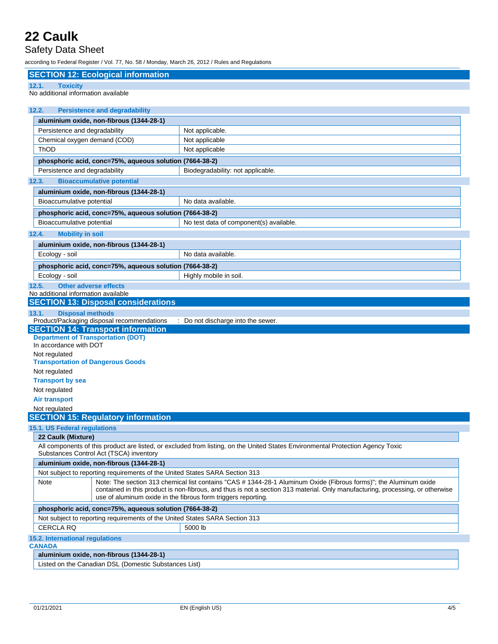#### Safety Data Sheet

according to Federal Register / Vol. 77, No. 58 / Monday, March 26, 2012 / Rules and Regulations

| <b>SECTION 12: Ecological information</b>                                                                                                                                                                                                                                                                                    |                                                                                                                                 |  |  |
|------------------------------------------------------------------------------------------------------------------------------------------------------------------------------------------------------------------------------------------------------------------------------------------------------------------------------|---------------------------------------------------------------------------------------------------------------------------------|--|--|
| 12.1.<br><b>Toxicity</b>                                                                                                                                                                                                                                                                                                     |                                                                                                                                 |  |  |
| No additional information available                                                                                                                                                                                                                                                                                          |                                                                                                                                 |  |  |
|                                                                                                                                                                                                                                                                                                                              |                                                                                                                                 |  |  |
| 12.2.<br><b>Persistence and degradability</b>                                                                                                                                                                                                                                                                                |                                                                                                                                 |  |  |
| aluminium oxide, non-fibrous (1344-28-1)                                                                                                                                                                                                                                                                                     |                                                                                                                                 |  |  |
| Persistence and degradability                                                                                                                                                                                                                                                                                                | Not applicable.                                                                                                                 |  |  |
| Chemical oxygen demand (COD)<br>ThOD                                                                                                                                                                                                                                                                                         | Not applicable                                                                                                                  |  |  |
|                                                                                                                                                                                                                                                                                                                              | Not applicable                                                                                                                  |  |  |
| phosphoric acid, conc=75%, aqueous solution (7664-38-2)                                                                                                                                                                                                                                                                      |                                                                                                                                 |  |  |
| Persistence and degradability                                                                                                                                                                                                                                                                                                | Biodegradability: not applicable.                                                                                               |  |  |
| 12.3.<br><b>Bioaccumulative potential</b>                                                                                                                                                                                                                                                                                    |                                                                                                                                 |  |  |
| aluminium oxide, non-fibrous (1344-28-1)                                                                                                                                                                                                                                                                                     |                                                                                                                                 |  |  |
| Bioaccumulative potential                                                                                                                                                                                                                                                                                                    | No data available.                                                                                                              |  |  |
| phosphoric acid, conc=75%, aqueous solution (7664-38-2)                                                                                                                                                                                                                                                                      |                                                                                                                                 |  |  |
| Bioaccumulative potential                                                                                                                                                                                                                                                                                                    | No test data of component(s) available.                                                                                         |  |  |
| 12.4.<br><b>Mobility in soil</b>                                                                                                                                                                                                                                                                                             |                                                                                                                                 |  |  |
| aluminium oxide, non-fibrous (1344-28-1)                                                                                                                                                                                                                                                                                     |                                                                                                                                 |  |  |
| Ecology - soil                                                                                                                                                                                                                                                                                                               | No data available.                                                                                                              |  |  |
| phosphoric acid, conc=75%, aqueous solution (7664-38-2)                                                                                                                                                                                                                                                                      |                                                                                                                                 |  |  |
| Ecology - soil                                                                                                                                                                                                                                                                                                               | Highly mobile in soil.                                                                                                          |  |  |
| 12.5.<br><b>Other adverse effects</b>                                                                                                                                                                                                                                                                                        |                                                                                                                                 |  |  |
| No additional information available                                                                                                                                                                                                                                                                                          |                                                                                                                                 |  |  |
| <b>SECTION 13: Disposal considerations</b>                                                                                                                                                                                                                                                                                   |                                                                                                                                 |  |  |
| <b>Disposal methods</b><br>13.1.                                                                                                                                                                                                                                                                                             |                                                                                                                                 |  |  |
| Product/Packaging disposal recommendations<br><b>SECTION 14: Transport information</b>                                                                                                                                                                                                                                       | : Do not discharge into the sewer.                                                                                              |  |  |
| <b>Department of Transportation (DOT)</b>                                                                                                                                                                                                                                                                                    |                                                                                                                                 |  |  |
| In accordance with DOT                                                                                                                                                                                                                                                                                                       |                                                                                                                                 |  |  |
| Not regulated                                                                                                                                                                                                                                                                                                                |                                                                                                                                 |  |  |
| <b>Transportation of Dangerous Goods</b>                                                                                                                                                                                                                                                                                     |                                                                                                                                 |  |  |
| Not regulated                                                                                                                                                                                                                                                                                                                |                                                                                                                                 |  |  |
| <b>Transport by sea</b>                                                                                                                                                                                                                                                                                                      |                                                                                                                                 |  |  |
| Not regulated<br><b>Air transport</b>                                                                                                                                                                                                                                                                                        |                                                                                                                                 |  |  |
| Not regulated                                                                                                                                                                                                                                                                                                                |                                                                                                                                 |  |  |
| <b>SECTION 15: Regulatory information</b>                                                                                                                                                                                                                                                                                    |                                                                                                                                 |  |  |
| 15.1. US Federal regulations                                                                                                                                                                                                                                                                                                 |                                                                                                                                 |  |  |
| 22 Caulk (Mixture)                                                                                                                                                                                                                                                                                                           |                                                                                                                                 |  |  |
| Substances Control Act (TSCA) inventory                                                                                                                                                                                                                                                                                      | All components of this product are listed, or excluded from listing, on the United States Environmental Protection Agency Toxic |  |  |
| aluminium oxide, non-fibrous (1344-28-1)                                                                                                                                                                                                                                                                                     |                                                                                                                                 |  |  |
| Not subject to reporting requirements of the United States SARA Section 313                                                                                                                                                                                                                                                  |                                                                                                                                 |  |  |
| Note: The section 313 chemical list contains "CAS # 1344-28-1 Aluminum Oxide (Fibrous forms)"; the Aluminum oxide<br>Note<br>contained in this product is non-fibrous, and thus is not a section 313 material. Only manufacturing, processing, or otherwise<br>use of aluminum oxide in the fibrous form triggers reporting. |                                                                                                                                 |  |  |
| phosphoric acid, conc=75%, aqueous solution (7664-38-2)                                                                                                                                                                                                                                                                      |                                                                                                                                 |  |  |
| Not subject to reporting requirements of the United States SARA Section 313                                                                                                                                                                                                                                                  |                                                                                                                                 |  |  |
| <b>CERCLA RQ</b>                                                                                                                                                                                                                                                                                                             | 5000 lb                                                                                                                         |  |  |
| 15.2. International regulations                                                                                                                                                                                                                                                                                              |                                                                                                                                 |  |  |
| <b>CANADA</b>                                                                                                                                                                                                                                                                                                                |                                                                                                                                 |  |  |
| aluminium oxide, non-fibrous (1344-28-1)                                                                                                                                                                                                                                                                                     |                                                                                                                                 |  |  |

Listed on the Canadian DSL (Domestic Substances List)